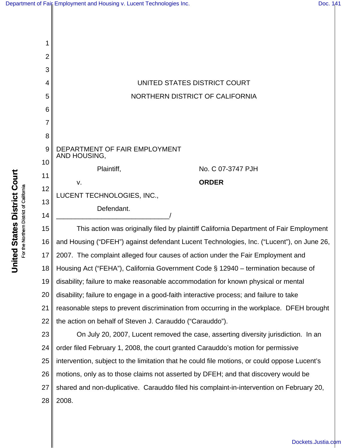

27 shared and non-duplicative. Carauddo filed his complaint-in-intervention on February 20,

28

2008.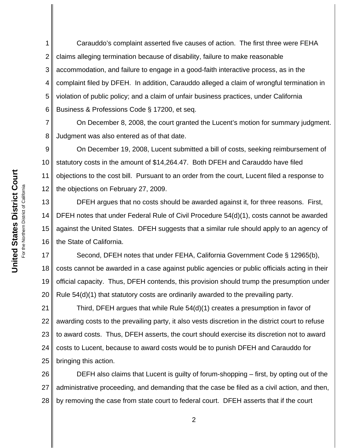1 2 3 4 5 6 Carauddo's complaint asserted five causes of action. The first three were FEHA claims alleging termination because of disability, failure to make reasonable accommodation, and failure to engage in a good-faith interactive process, as in the complaint filed by DFEH. In addition, Carauddo alleged a claim of wrongful termination in violation of public policy; and a claim of unfair business practices, under California Business & Professions Code § 17200, et seq.

7 8 On December 8, 2008, the court granted the Lucent's motion for summary judgment. Judgment was also entered as of that date.

9 10 11 12 On December 19, 2008, Lucent submitted a bill of costs, seeking reimbursement of statutory costs in the amount of \$14,264.47. Both DFEH and Carauddo have filed objections to the cost bill. Pursuant to an order from the court, Lucent filed a response to the objections on February 27, 2009.

13 14 15 16 DFEH argues that no costs should be awarded against it, for three reasons. First, DFEH notes that under Federal Rule of Civil Procedure 54(d)(1), costs cannot be awarded against the United States. DFEH suggests that a similar rule should apply to an agency of the State of California.

17 18 19 20 Second, DFEH notes that under FEHA, California Government Code § 12965(b), costs cannot be awarded in a case against public agencies or public officials acting in their official capacity. Thus, DFEH contends, this provision should trump the presumption under Rule 54(d)(1) that statutory costs are ordinarily awarded to the prevailing party.

21 22 23 24 25 Third, DFEH argues that while Rule 54(d)(1) creates a presumption in favor of awarding costs to the prevailing party, it also vests discretion in the district court to refuse to award costs. Thus, DFEH asserts, the court should exercise its discretion not to award costs to Lucent, because to award costs would be to punish DFEH and Carauddo for bringing this action.

26 27 28 DEFH also claims that Lucent is guilty of forum-shopping – first, by opting out of the administrative proceeding, and demanding that the case be filed as a civil action, and then, by removing the case from state court to federal court. DFEH asserts that if the court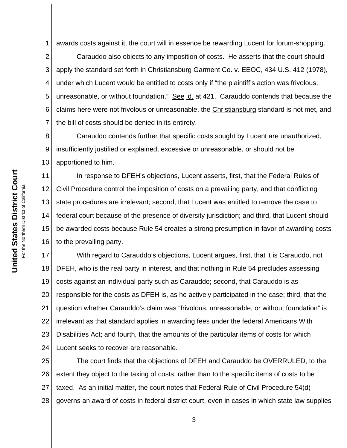1 awards costs against it, the court will in essence be rewarding Lucent for forum-shopping.

2 3 4 5 6 7 Carauddo also objects to any imposition of costs. He asserts that the court should apply the standard set forth in Christiansburg Garment Co. v. EEOC, 434 U.S. 412 (1978), under which Lucent would be entitled to costs only if "the plaintiff's action was frivolous, unreasonable, or without foundation." See id. at 421. Carauddo contends that because the claims here were not frivolous or unreasonable, the Christiansburg standard is not met, and the bill of costs should be denied in its entirety.

8 9 10 Carauddo contends further that specific costs sought by Lucent are unauthorized, insufficiently justified or explained, excessive or unreasonable, or should not be apportioned to him.

11 12 13 14 15 16 In response to DFEH's objections, Lucent asserts, first, that the Federal Rules of Civil Procedure control the imposition of costs on a prevailing party, and that conflicting state procedures are irrelevant; second, that Lucent was entitled to remove the case to federal court because of the presence of diversity jurisdiction; and third, that Lucent should be awarded costs because Rule 54 creates a strong presumption in favor of awarding costs to the prevailing party.

17 18 19 20 21 22 23 24 With regard to Carauddo's objections, Lucent argues, first, that it is Carauddo, not DFEH, who is the real party in interest, and that nothing in Rule 54 precludes assessing costs against an individual party such as Carauddo; second, that Carauddo is as responsible for the costs as DFEH is, as he actively participated in the case; third, that the question whether Carauddo's claim was "frivolous, unreasonable, or without foundation" is irrelevant as that standard applies in awarding fees under the federal Americans With Disabilities Act; and fourth, that the amounts of the particular items of costs for which Lucent seeks to recover are reasonable.

25 26 27 28 The court finds that the objections of DFEH and Carauddo be OVERRULED, to the extent they object to the taxing of costs, rather than to the specific items of costs to be taxed. As an initial matter, the court notes that Federal Rule of Civil Procedure 54(d) governs an award of costs in federal district court, even in cases in which state law supplies

3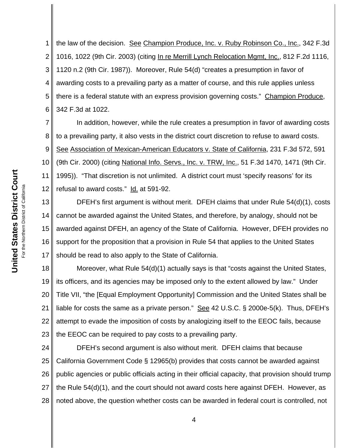1 2 3 4 5 6 the law of the decision. See Champion Produce, Inc. v. Ruby Robinson Co., Inc., 342 F.3d 1016, 1022 (9th Cir. 2003) (citing In re Merrill Lynch Relocation Mgmt, Inc., 812 F.2d 1116, 1120 n.2 (9th Cir. 1987)). Moreover, Rule 54(d) "creates a presumption in favor of awarding costs to a prevailing party as a matter of course, and this rule applies unless there is a federal statute with an express provision governing costs." Champion Produce, 342 F.3d at 1022.

7 8 9 10 11 12 In addition, however, while the rule creates a presumption in favor of awarding costs to a prevailing party, it also vests in the district court discretion to refuse to award costs. See Association of Mexican-American Educators v. State of California, 231 F.3d 572, 591 (9th Cir. 2000) (citing National Info. Servs., Inc. v. TRW, Inc., 51 F.3d 1470, 1471 (9th Cir. 1995)). "That discretion is not unlimited. A district court must 'specify reasons' for its refusal to award costs." Id. at 591-92.

13 14 15 16 17 DFEH's first argument is without merit. DFEH claims that under Rule 54(d)(1), costs cannot be awarded against the United States, and therefore, by analogy, should not be awarded against DFEH, an agency of the State of California. However, DFEH provides no support for the proposition that a provision in Rule 54 that applies to the United States should be read to also apply to the State of California.

18 19 20 21 22 23 Moreover, what Rule 54(d)(1) actually says is that "costs against the United States, its officers, and its agencies may be imposed only to the extent allowed by law." Under Title VII, "the [Equal Employment Opportunity] Commission and the United States shall be liable for costs the same as a private person." See 42 U.S.C. § 2000e-5(k). Thus, DFEH's attempt to evade the imposition of costs by analogizing itself to the EEOC fails, because the EEOC can be required to pay costs to a prevailing party.

24 25 26 27 28 DFEH's second argument is also without merit. DFEH claims that because California Government Code § 12965(b) provides that costs cannot be awarded against public agencies or public officials acting in their official capacity, that provision should trump the Rule 54(d)(1), and the court should not award costs here against DFEH. However, as noted above, the question whether costs can be awarded in federal court is controlled, not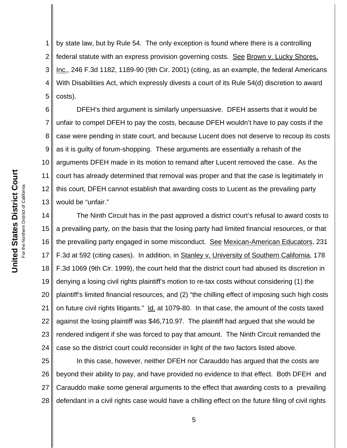1 2 3 4 5 by state law, but by Rule 54. The only exception is found where there is a controlling federal statute with an express provision governing costs. See Brown v. Lucky Shores, Inc., 246 F.3d 1182, 1189-90 (9th Cir. 2001) (citing, as an example, the federal Americans With Disabilities Act, which expressly divests a court of its Rule 54(d) discretion to award costs).

6 7 8 9 10 11 12 13 DFEH's third argument is similarly unpersuasive. DFEH asserts that it would be unfair to compel DFEH to pay the costs, because DFEH wouldn't have to pay costs if the case were pending in state court, and because Lucent does not deserve to recoup its costs as it is guilty of forum-shopping. These arguments are essentially a rehash of the arguments DFEH made in its motion to remand after Lucent removed the case. As the court has already determined that removal was proper and that the case is legitimately in this court, DFEH cannot establish that awarding costs to Lucent as the prevailing party would be "unfair."

14 15 16 17 18 19 20 21 22 23 24 The Ninth Circuit has in the past approved a district court's refusal to award costs to a prevailing party, on the basis that the losing party had limited financial resources, or that the prevailing party engaged in some misconduct. See Mexican-American Educators, 231 F.3d at 592 (citing cases). In addition, in Stanley v. University of Southern California, 178 F.3d 1069 (9th Cir. 1999), the court held that the district court had abused its discretion in denying a losing civil rights plaintiff's motion to re-tax costs without considering (1) the plaintiff's limited financial resources, and (2) "the chilling effect of imposing such high costs on future civil rights litigants." Id. at 1079-80. In that case, the amount of the costs taxed against the losing plaintiff was \$46,710.97. The plaintiff had argued that she would be rendered indigent if she was forced to pay that amount. The Ninth Circuit remanded the case so the district court could reconsider in light of the two factors listed above.

25 26 27 28 In this case, however, neither DFEH nor Carauddo has argued that the costs are beyond their ability to pay, and have provided no evidence to that effect. Both DFEH and Carauddo make some general arguments to the effect that awarding costs to a prevailing defendant in a civil rights case would have a chilling effect on the future filing of civil rights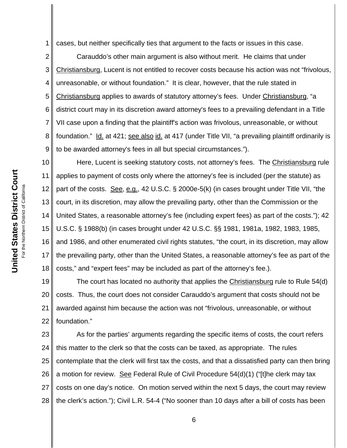1 cases, but neither specifically ties that argument to the facts or issues in this case.

2 3 4 5 6 7 8 9 Carauddo's other main argument is also without merit. He claims that under Christiansburg, Lucent is not entitled to recover costs because his action was not "frivolous, unreasonable, or without foundation." It is clear, however, that the rule stated in Christiansburg applies to awards of statutory attorney's fees. Under Christiansburg, "a district court may in its discretion award attorney's fees to a prevailing defendant in a Title VII case upon a finding that the plaintiff's action was frivolous, unreasonable, or without foundation." Id. at 421; see also id. at 417 (under Title VII, "a prevailing plaintiff ordinarily is to be awarded attorney's fees in all but special circumstances.").

10 11 12 13 14 15 16 17 18 Here, Lucent is seeking statutory costs, not attorney's fees. The Christiansburg rule applies to payment of costs only where the attorney's fee is included (per the statute) as part of the costs. See, e.g., 42 U.S.C. § 2000e-5(k) (in cases brought under Title VII, "the court, in its discretion, may allow the prevailing party, other than the Commission or the United States, a reasonable attorney's fee (including expert fees) as part of the costs."); 42 U.S.C. § 1988(b) (in cases brought under 42 U.S.C. §§ 1981, 1981a, 1982, 1983, 1985, and 1986, and other enumerated civil rights statutes, "the court, in its discretion, may allow the prevailing party, other than the United States, a reasonable attorney's fee as part of the costs," and "expert fees" may be included as part of the attorney's fee.).

19 20 21 22 The court has located no authority that applies the Christiansburg rule to Rule 54(d) costs. Thus, the court does not consider Carauddo's argument that costs should not be awarded against him because the action was not "frivolous, unreasonable, or without foundation."

23 24 25 26 27 28 As for the parties' arguments regarding the specific items of costs, the court refers this matter to the clerk so that the costs can be taxed, as appropriate. The rules contemplate that the clerk will first tax the costs, and that a dissatisfied party can then bring a motion for review. See Federal Rule of Civil Procedure 54(d)(1) ("[t]he clerk may tax costs on one day's notice. On motion served within the next 5 days, the court may review the clerk's action."); Civil L.R. 54-4 ("No sooner than 10 days after a bill of costs has been

6